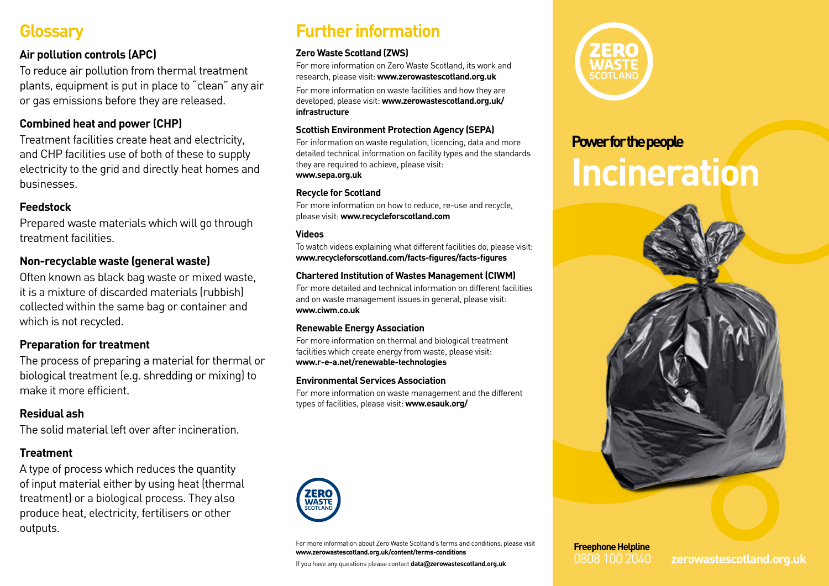### **Glossary**

### **Air pollution controls (APC)**

To reduce air pollution from thermal treatment plants, equipment is put in place to "clean" any air or gas emissions before they are released.

### **Combined heat and power (CHP)**

Treatment facilities create heat and electricity, and CHP facilities use of both of these to supply electricity to the grid and directly heat homes and businesses.

### **Feedstock**

Prepared waste materials which will go through treatment facilities.

### **Non-recyclable waste (general waste)**

Often known as black bag waste or mixed waste, it is a mixture of discarded materials (rubbish) collected within the same bag or container and which is not recycled.

#### **Preparation for treatment**

The process of preparing a material for thermal or biological treatment (e.g. shredding or mixing) to make it more efficient.

#### **Residual ash**

The solid material left over after incineration.

#### **Treatment**

A type of process which reduces the quantity of input material either by using heat (thermal treatment) or a biological process. They also produce heat, electricity, fertilisers or other outputs.

## **Further information**

#### **Zero Waste Scotland (ZWS)**

For more information on Zero Waste Scotland, its work and research, please visit: **www.zerowastescotland.org.uk**

For more information on waste facilities and how they are developed, please visit: **www.zerowastescotland.org.uk/ infrastructure**

#### **Scottish Environment Protection Agency (SEPA)**

For information on waste regulation, licencing, data and more detailed technical information on facility types and the standards they are required to achieve, please visit: **www.sepa.org.uk**

#### **Recycle for Scotland**

For more information on how to reduce, re-use and recycle, please visit: **www.recycleforscotland.com** 

#### **Videos**

To watch videos explaining what different facilities do, please visit: **www.recycleforscotland.com/facts-figures/facts-figures**

#### **Chartered Institution of Wastes Management (CIWM)**

For more detailed and technical information on different facilities and on waste management issues in general, please visit: **www.ciwm.co.uk**

#### **Renewable Energy Association**

For more information on thermal and biological treatment facilities which create energy from waste, please visit: **www.r-e-a.net/renewable-technologies**

#### **Environmental Services Association**

For more information on waste management and the different types of facilities, please visit: **www.esauk.org/**



For more information about Zero Waste Scotland's terms and conditions, please visit **www.zerowastescotland.org.uk/content/terms-conditions**

If you have any questions please contact **data@zerowastescotland.org.uk**



# **Power for the people Incineration**



# **Freephone Helpline**

0808 100 2040 **zerowastescotland.org.uk**